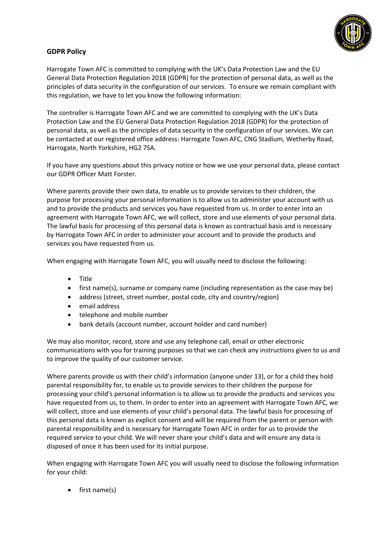

## **GDPR Policy**

Harrogate Town AFC is committed to complying with the UK's Data Protection Law and the EU General Data Protection Regulation 2018 (GDPR) for the protection of personal data, as well as the principles of data security in the configuration of our services. To ensure we remain compliant with this regulation, we have to let you know the following information:

The controller is Harrogate Town AFC and we are committed to complying with the UK's Data Protection Law and the EU General Data Protection Regulation 2018 (GDPR) for the protection of personal data, as well as the principles of data security in the configuration of our services. We can be contacted at our registered office address: Harrogate Town AFC, CNG Stadium, Wetherby Road, Harrogate, North Yorkshire, HG2 7SA.

If you have any questions about this privacy notice or how we use your personal data, please contact our GDPR Officer Matt Forster.

Where parents provide their own data, to enable us to provide services to their children, the purpose for processing your personal information is to allow us to administer your account with us and to provide the products and services you have requested from us. In order to enter into an agreement with Harrogate Town AFC, we will collect, store and use elements of your personal data. The lawful basis for processing of this personal data is known as contractual basis and is necessary by Harrogate Town AFC in order to administer your account and to provide the products and services you have requested from us.

When engaging with Harrogate Town AFC, you will usually need to disclose the following:

- Title
- first name(s), surname or company name (including representation as the case may be)
- address (street, street number, postal code, city and country/region)
- email address
- telephone and mobile number
- bank details (account number, account holder and card number)

We may also monitor, record, store and use any telephone call, email or other electronic communications with you for training purposes so that we can check any instructions given to us and to improve the quality of our customer service.

Where parents provide us with their child's information (anyone under 13), or for a child they hold parental responsibility for, to enable us to provide services to their children the purpose for processing your child's personal information is to allow us to provide the products and services you have requested from us, to them. In order to enter into an agreement with Harrogate Town AFC, we will collect, store and use elements of your child's personal data. The lawful basis for processing of this personal data is known as explicit consent and will be required from the parent or person with parental responsibility and is necessary for Harrogate Town AFC in order for us to provide the required service to your child. We will never share your child's data and will ensure any data is disposed of once it has been used for its initial purpose.

When engaging with Harrogate Town AFC you will usually need to disclose the following information for your child:

• first name(s)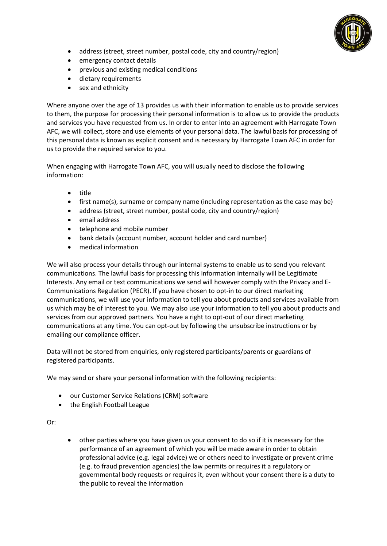

- address (street, street number, postal code, city and country/region)
- emergency contact details
- previous and existing medical conditions
- dietary requirements
- sex and ethnicity

Where anyone over the age of 13 provides us with their information to enable us to provide services to them, the purpose for processing their personal information is to allow us to provide the products and services you have requested from us. In order to enter into an agreement with Harrogate Town AFC, we will collect, store and use elements of your personal data. The lawful basis for processing of this personal data is known as explicit consent and is necessary by Harrogate Town AFC in order for us to provide the required service to you.

When engaging with Harrogate Town AFC, you will usually need to disclose the following information:

- title
- first name(s), surname or company name (including representation as the case may be)
- address (street, street number, postal code, city and country/region)
- email address
- telephone and mobile number
- bank details (account number, account holder and card number)
- medical information

We will also process your details through our internal systems to enable us to send you relevant communications. The lawful basis for processing this information internally will be Legitimate Interests. Any email or text communications we send will however comply with the Privacy and E-Communications Regulation (PECR). If you have chosen to opt-in to our direct marketing communications, we will use your information to tell you about products and services available from us which may be of interest to you. We may also use your information to tell you about products and services from our approved partners. You have a right to opt-out of our direct marketing communications at any time. You can opt-out by following the unsubscribe instructions or by emailing our compliance officer.

Data will not be stored from enquiries, only registered participants/parents or guardians of registered participants.

We may send or share your personal information with the following recipients:

- our Customer Service Relations (CRM) software
- the English Football League

Or:

• other parties where you have given us your consent to do so if it is necessary for the performance of an agreement of which you will be made aware in order to obtain professional advice (e.g. legal advice) we or others need to investigate or prevent crime (e.g. to fraud prevention agencies) the law permits or requires it a regulatory or governmental body requests or requires it, even without your consent there is a duty to the public to reveal the information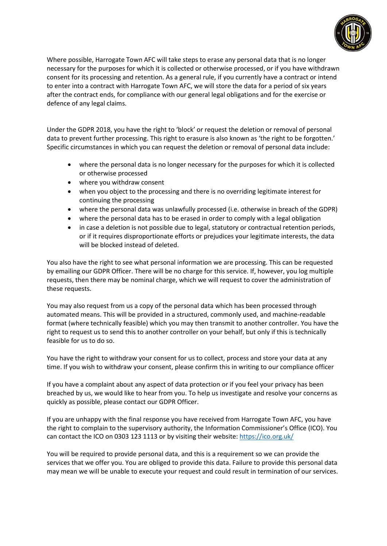

Where possible, Harrogate Town AFC will take steps to erase any personal data that is no longer necessary for the purposes for which it is collected or otherwise processed, or if you have withdrawn consent for its processing and retention. As a general rule, if you currently have a contract or intend to enter into a contract with Harrogate Town AFC, we will store the data for a period of six years after the contract ends, for compliance with our general legal obligations and for the exercise or defence of any legal claims.

Under the GDPR 2018, you have the right to 'block' or request the deletion or removal of personal data to prevent further processing. This right to erasure is also known as 'the right to be forgotten.' Specific circumstances in which you can request the deletion or removal of personal data include:

- where the personal data is no longer necessary for the purposes for which it is collected or otherwise processed
- where you withdraw consent
- when you object to the processing and there is no overriding legitimate interest for continuing the processing
- where the personal data was unlawfully processed (i.e. otherwise in breach of the GDPR)
- where the personal data has to be erased in order to comply with a legal obligation
- in case a deletion is not possible due to legal, statutory or contractual retention periods, or if it requires disproportionate efforts or prejudices your legitimate interests, the data will be blocked instead of deleted.

You also have the right to see what personal information we are processing. This can be requested by emailing our GDPR Officer. There will be no charge for this service. If, however, you log multiple requests, then there may be nominal charge, which we will request to cover the administration of these requests.

You may also request from us a copy of the personal data which has been processed through automated means. This will be provided in a structured, commonly used, and machine-readable format (where technically feasible) which you may then transmit to another controller. You have the right to request us to send this to another controller on your behalf, but only if this is technically feasible for us to do so.

You have the right to withdraw your consent for us to collect, process and store your data at any time. If you wish to withdraw your consent, please confirm this in writing to our compliance officer

If you have a complaint about any aspect of data protection or if you feel your privacy has been breached by us, we would like to hear from you. To help us investigate and resolve your concerns as quickly as possible, please contact our GDPR Officer.

If you are unhappy with the final response you have received from Harrogate Town AFC, you have the right to complain to the supervisory authority, the Information Commissioner's Office (ICO). You can contact the ICO on 0303 123 1113 or by visiting their website[: https://ico.org.uk/](https://ico.org.uk/)

You will be required to provide personal data, and this is a requirement so we can provide the services that we offer you. You are obliged to provide this data. Failure to provide this personal data may mean we will be unable to execute your request and could result in termination of our services.